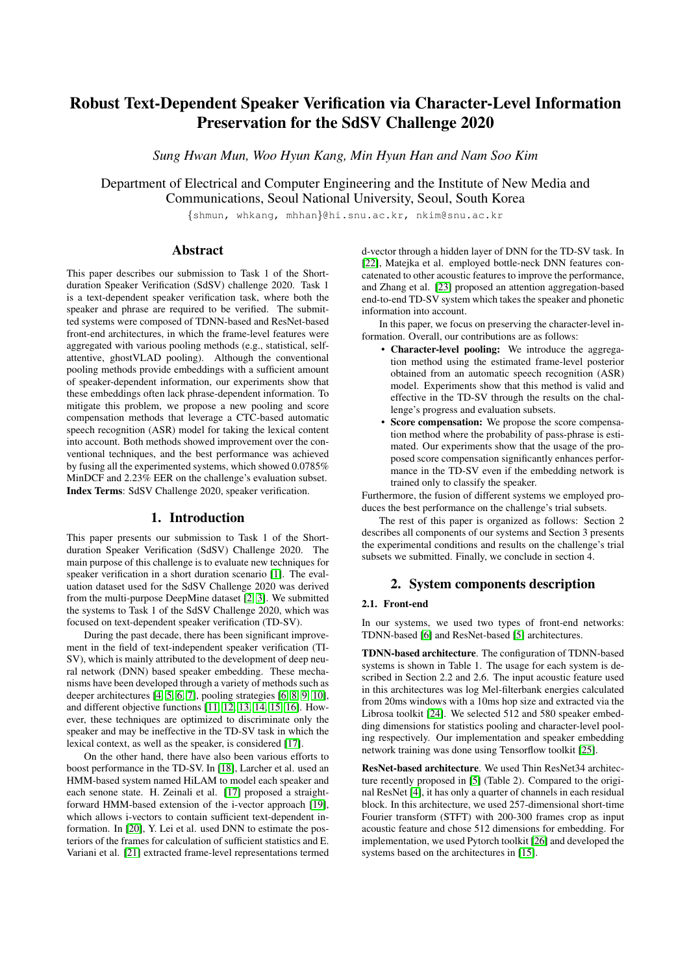# Robust Text-Dependent Speaker Verification via Character-Level Information Preservation for the SdSV Challenge 2020

*Sung Hwan Mun, Woo Hyun Kang, Min Hyun Han and Nam Soo Kim*

Department of Electrical and Computer Engineering and the Institute of New Media and Communications, Seoul National University, Seoul, South Korea

{shmun, whkang, mhhan}@hi.snu.ac.kr, nkim@snu.ac.kr

# Abstract

This paper describes our submission to Task 1 of the Shortduration Speaker Verification (SdSV) challenge 2020. Task 1 is a text-dependent speaker verification task, where both the speaker and phrase are required to be verified. The submitted systems were composed of TDNN-based and ResNet-based front-end architectures, in which the frame-level features were aggregated with various pooling methods (e.g., statistical, selfattentive, ghostVLAD pooling). Although the conventional pooling methods provide embeddings with a sufficient amount of speaker-dependent information, our experiments show that these embeddings often lack phrase-dependent information. To mitigate this problem, we propose a new pooling and score compensation methods that leverage a CTC-based automatic speech recognition (ASR) model for taking the lexical content into account. Both methods showed improvement over the conventional techniques, and the best performance was achieved by fusing all the experimented systems, which showed 0.0785% MinDCF and 2.23% EER on the challenge's evaluation subset. Index Terms: SdSV Challenge 2020, speaker verification.

# 1. Introduction

This paper presents our submission to Task 1 of the Shortduration Speaker Verification (SdSV) Challenge 2020. The main purpose of this challenge is to evaluate new techniques for speaker verification in a short duration scenario [\[1\]](#page-4-0). The evaluation dataset used for the SdSV Challenge 2020 was derived from the multi-purpose DeepMine dataset [\[2,](#page-4-1) [3\]](#page-4-2). We submitted the systems to Task 1 of the SdSV Challenge 2020, which was focused on text-dependent speaker verification (TD-SV).

During the past decade, there has been significant improvement in the field of text-independent speaker verification (TI-SV), which is mainly attributed to the development of deep neural network (DNN) based speaker embedding. These mechanisms have been developed through a variety of methods such as deeper architectures [\[4,](#page-4-3) [5,](#page-4-4) [6,](#page-4-5) [7\]](#page-4-6), pooling strategies [\[6,](#page-4-5) [8,](#page-4-7) [9,](#page-4-8) [10\]](#page-4-9), and different objective functions [\[11,](#page-4-10) [12,](#page-4-11) [13,](#page-4-12) [14,](#page-4-13) [15,](#page-4-14) [16\]](#page-4-15). However, these techniques are optimized to discriminate only the speaker and may be ineffective in the TD-SV task in which the lexical context, as well as the speaker, is considered [\[17\]](#page-4-16).

On the other hand, there have also been various efforts to boost performance in the TD-SV. In [\[18\]](#page-4-17), Larcher et al. used an HMM-based system named HiLAM to model each speaker and each senone state. H. Zeinali et al. [\[17\]](#page-4-16) proposed a straightforward HMM-based extension of the i-vector approach [\[19\]](#page-4-18), which allows i-vectors to contain sufficient text-dependent information. In [\[20\]](#page-4-19), Y. Lei et al. used DNN to estimate the posteriors of the frames for calculation of sufficient statistics and E. Variani et al. [\[21\]](#page-4-20) extracted frame-level representations termed d-vector through a hidden layer of DNN for the TD-SV task. In [\[22\]](#page-4-21), Matejka et al. employed bottle-neck DNN features concatenated to other acoustic features to improve the performance, and Zhang et al. [\[23\]](#page-4-22) proposed an attention aggregation-based end-to-end TD-SV system which takes the speaker and phonetic information into account.

In this paper, we focus on preserving the character-level information. Overall, our contributions are as follows:

- Character-level pooling: We introduce the aggregation method using the estimated frame-level posterior obtained from an automatic speech recognition (ASR) model. Experiments show that this method is valid and effective in the TD-SV through the results on the challenge's progress and evaluation subsets.
- Score compensation: We propose the score compensation method where the probability of pass-phrase is estimated. Our experiments show that the usage of the proposed score compensation significantly enhances performance in the TD-SV even if the embedding network is trained only to classify the speaker.

Furthermore, the fusion of different systems we employed produces the best performance on the challenge's trial subsets.

The rest of this paper is organized as follows: Section 2 describes all components of our systems and Section 3 presents the experimental conditions and results on the challenge's trial subsets we submitted. Finally, we conclude in section 4.

# 2. System components description

# 2.1. Front-end

In our systems, we used two types of front-end networks: TDNN-based [\[6\]](#page-4-5) and ResNet-based [\[5\]](#page-4-4) architectures.

TDNN-based architecture. The configuration of TDNN-based systems is shown in Table 1. The usage for each system is described in Section 2.2 and 2.6. The input acoustic feature used in this architectures was log Mel-filterbank energies calculated from 20ms windows with a 10ms hop size and extracted via the Librosa toolkit [\[24\]](#page-4-23). We selected 512 and 580 speaker embedding dimensions for statistics pooling and character-level pooling respectively. Our implementation and speaker embedding network training was done using Tensorflow toolkit [\[25\]](#page-4-24).

ResNet-based architecture. We used Thin ResNet34 architecture recently proposed in [\[5\]](#page-4-4) (Table 2). Compared to the original ResNet [\[4\]](#page-4-3), it has only a quarter of channels in each residual block. In this architecture, we used 257-dimensional short-time Fourier transform (STFT) with 200-300 frames crop as input acoustic feature and chose 512 dimensions for embedding. For implementation, we used Pytorch toolkit [\[26\]](#page-4-25) and developed the systems based on the architectures in [\[15\]](#page-4-14).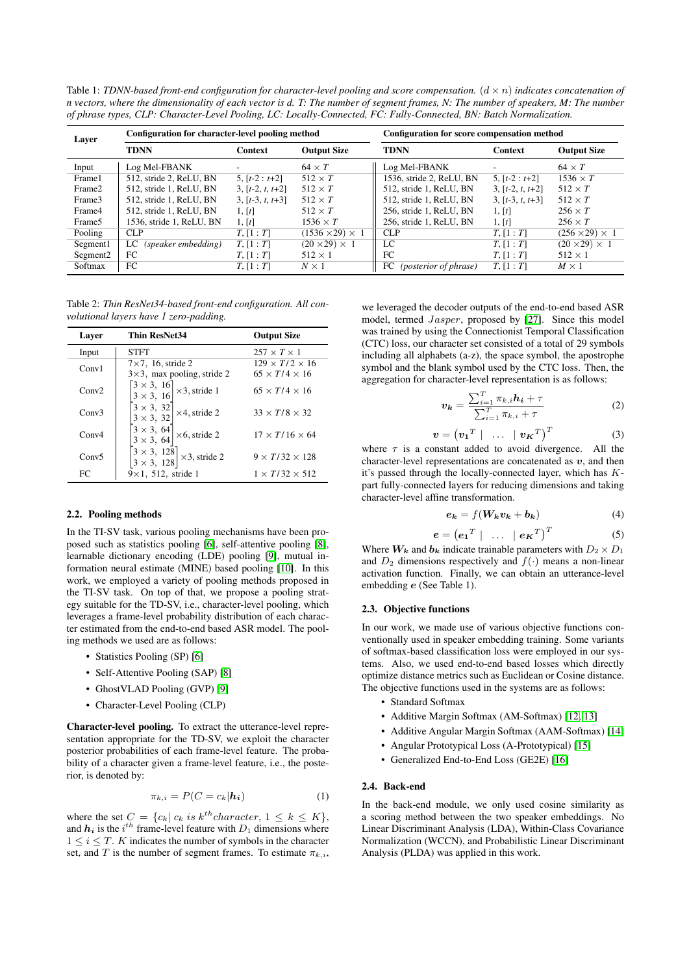Table 1: *TDNN-based front-end configuration for character-level pooling and score compensation.*  $(d \times n)$  *indicates concatenation of n vectors, where the dimensionality of each vector is d. T: The number of segment frames, N: The number of speakers, M: The number of phrase types, CLP: Character-Level Pooling, LC: Locally-Connected, FC: Fully-Connected, BN: Batch Normalization.*

| Layer                | Configuration for character-level pooling method |                    |                             | Configuration for score compensation method |                    |                            |  |
|----------------------|--------------------------------------------------|--------------------|-----------------------------|---------------------------------------------|--------------------|----------------------------|--|
|                      | <b>TDNN</b>                                      | Context            | <b>Output Size</b>          | <b>TDNN</b>                                 | <b>Context</b>     | <b>Output Size</b>         |  |
| Input                | Log Mel-FBANK                                    |                    | $64 \times T$               | Log Mel-FBANK                               |                    | $64 \times T$              |  |
| Frame1               | 512, stride 2, ReLU, BN                          | $5, [t-2 : t+2]$   | $512 \times T$              | 1536, stride 2, ReLU, BN                    | 5, $[t-2 : t+2]$   | $1536 \times T$            |  |
| Frame2               | 512, stride 1, ReLU, BN                          | $3, [t-2, t, t+2]$ | $512 \times T$              | 512, stride 1, ReLU, BN                     | $3, [t-2, t, t+2]$ | $512 \times T$             |  |
| Frame3               | 512, stride 1, ReLU, BN                          | $3, [t-3, t, t+3]$ | $512 \times T$              | 512, stride 1, ReLU, BN                     | $3, [t-3, t, t+3]$ | $512 \times T$             |  |
| Frame4               | 512, stride 1, ReLU, BN                          | 1, [t]             | $512 \times T$              | 256, stride 1, ReLU, BN                     | 1, [t]             | $256 \times T$             |  |
| Frame <sub>5</sub>   | 1536, stride 1, ReLU, BN                         | 1, [t]             | $1536 \times T$             | 256, stride 1, ReLU, BN                     | 1, [t]             | $256 \times T$             |  |
| Pooling              | CLP                                              | T, [1:T]           | $(1536 \times 29) \times 1$ | <b>CLP</b>                                  | T, [1:T]           | $(256 \times 29) \times 1$ |  |
| Segment1             | (speaker embedding)<br>LC.                       | T, [1:T]           | $(20 \times 29) \times 1$   | LC                                          | T, [1:T]           | $(20 \times 29) \times 1$  |  |
| Segment <sub>2</sub> | FC                                               | T, [1:T]           | $512 \times 1$              | FC                                          | T, [1:T]           | $512 \times 1$             |  |
| Softmax              | FC                                               | T, [1:T]           | $N \times 1$                | <i>(posterior of phrase)</i><br>FC          | T, [1:T]           | $M \times 1$               |  |

Table 2: *Thin ResNet34-based front-end configuration. All convolutional layers have 1 zero-padding.*

| Laver             | <b>Thin ResNet34</b>                                                                         | <b>Output Size</b>                                      |
|-------------------|----------------------------------------------------------------------------------------------|---------------------------------------------------------|
| Input             | STFT                                                                                         | $257 \times T \times 1$                                 |
| Conv1             | $7\times7$ , 16, stride 2<br>$3\times3$ , max pooling, stride 2                              | $129 \times T/2 \times 16$<br>$65 \times T/4 \times 16$ |
| Conv2             | $\begin{bmatrix} 3 \times 3, & 16 \\ 3 \times 3, & 16 \end{bmatrix}$<br>$\times$ 3, stride 1 | $65 \times T/4 \times 16$                               |
| Conv3             | $3 \times 3, 32$<br>$\times$ 4, stride 2<br>$3 \times 3, 32$                                 | $33 \times T/8 \times 32$                               |
| Conv4             | $\begin{bmatrix} 3 \times 3, & 64 \\ 3 \times 3, & 64 \end{bmatrix}$<br>$\times$ 6, stride 2 | $17 \times T/16 \times 64$                              |
| Conv <sub>5</sub> | $\begin{bmatrix} 3 \times 3, & 128 \\ 3 \times 3, & 128 \end{bmatrix} \times 3$ , stride 2   | $9 \times T/32 \times 128$                              |
| FC                | $9 \times 1$ , 512, stride 1                                                                 | $1 \times T/32 \times 512$                              |

### 2.2. Pooling methods

In the TI-SV task, various pooling mechanisms have been proposed such as statistics pooling [\[6\]](#page-4-5), self-attentive pooling [\[8\]](#page-4-7), learnable dictionary encoding (LDE) pooling [\[9\]](#page-4-8), mutual information neural estimate (MINE) based pooling [\[10\]](#page-4-9). In this work, we employed a variety of pooling methods proposed in the TI-SV task. On top of that, we propose a pooling strategy suitable for the TD-SV, i.e., character-level pooling, which leverages a frame-level probability distribution of each character estimated from the end-to-end based ASR model. The pooling methods we used are as follows:

- Statistics Pooling (SP) [\[6\]](#page-4-5)
- Self-Attentive Pooling (SAP) [\[8\]](#page-4-7)
- GhostVLAD Pooling (GVP) [\[9\]](#page-4-8)
- Character-Level Pooling (CLP)

Character-level pooling. To extract the utterance-level representation appropriate for the TD-SV, we exploit the character posterior probabilities of each frame-level feature. The probability of a character given a frame-level feature, i.e., the posterior, is denoted by:

$$
\pi_{k,i} = P(C = c_k | \mathbf{h_i}) \tag{1}
$$

where the set  $C = \{c_k | c_k \text{ is } k^{th} character, 1 \leq k \leq K\},\$ and  $h_i$  is the  $i^{th}$  frame-level feature with  $D_1$  dimensions where  $1 \leq i \leq T$ . K indicates the number of symbols in the character set, and T is the number of segment frames. To estimate  $\pi_{k,i}$ ,

we leveraged the decoder outputs of the end-to-end based ASR model, termed Jasper, proposed by [\[27\]](#page-4-26). Since this model was trained by using the Connectionist Temporal Classification (CTC) loss, our character set consisted of a total of 29 symbols including all alphabets (a-z), the space symbol, the apostrophe symbol and the blank symbol used by the CTC loss. Then, the aggregation for character-level representation is as follows:

$$
v_k = \frac{\sum_{i=1}^{T} \pi_{k,i} h_i + \tau}{\sum_{i=1}^{T} \pi_{k,i} + \tau}
$$
 (2)

$$
\mathbf{v} = \left(\mathbf{v_1}^T \mid \ldots \mid \mathbf{v_K}^T\right)^T \tag{3}
$$

where  $\tau$  is a constant added to avoid divergence. All the character-level representations are concatenated as  $v$ , and then it's passed through the locally-connected layer, which has Kpart fully-connected layers for reducing dimensions and taking character-level affine transformation.

$$
e_k = f(W_k v_k + b_k)
$$
 (4)

$$
\mathbf{e} = \left(\mathbf{e_1}^T \mid \ldots \mid \mathbf{e_K}^T\right)^T \tag{5}
$$

Where  $W_k$  and  $b_k$  indicate trainable parameters with  $D_2 \times D_1$ and  $D_2$  dimensions respectively and  $f(.)$  means a non-linear activation function. Finally, we can obtain an utterance-level embedding e (See Table 1).

#### 2.3. Objective functions

In our work, we made use of various objective functions conventionally used in speaker embedding training. Some variants of softmax-based classification loss were employed in our systems. Also, we used end-to-end based losses which directly optimize distance metrics such as Euclidean or Cosine distance. The objective functions used in the systems are as follows:

- Standard Softmax
- Additive Margin Softmax (AM-Softmax) [\[12,](#page-4-11) [13\]](#page-4-12)
- Additive Angular Margin Softmax (AAM-Softmax) [\[14\]](#page-4-13)
- Angular Prototypical Loss (A-Prototypical) [\[15\]](#page-4-14)
- Generalized End-to-End Loss (GE2E) [\[16\]](#page-4-15)

#### 2.4. Back-end

In the back-end module, we only used cosine similarity as a scoring method between the two speaker embeddings. No Linear Discriminant Analysis (LDA), Within-Class Covariance Normalization (WCCN), and Probabilistic Linear Discriminant Analysis (PLDA) was applied in this work.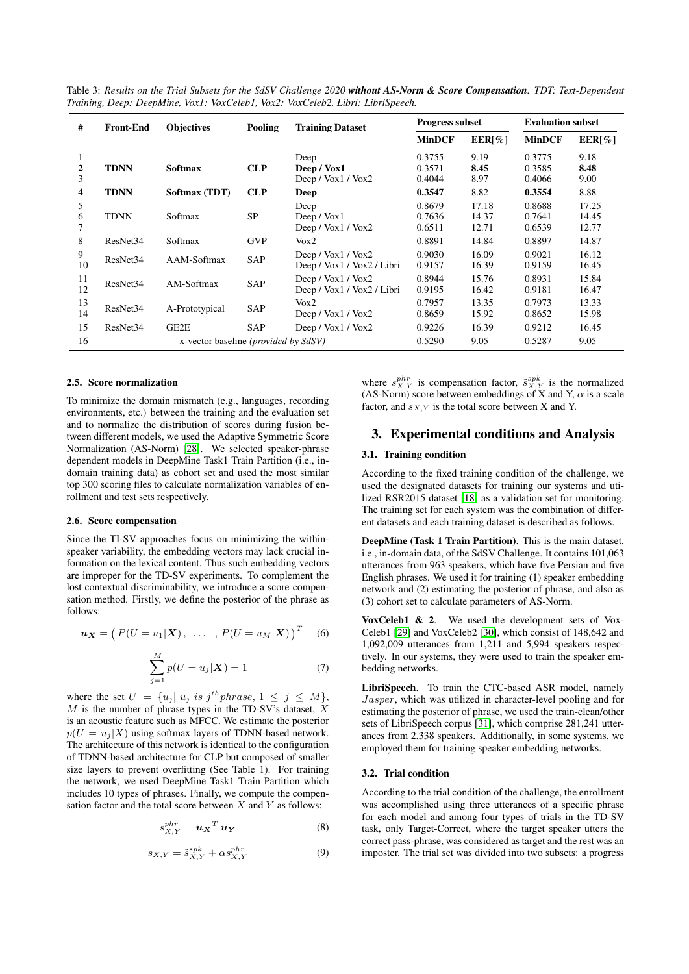| #        | <b>Front-End</b>     | <b>Objectives</b>                             | Pooling    | <b>Training Dataset</b>                              | <b>Progress subset</b>     |                         | <b>Evaluation subset</b>   |                         |
|----------|----------------------|-----------------------------------------------|------------|------------------------------------------------------|----------------------------|-------------------------|----------------------------|-------------------------|
|          |                      |                                               |            |                                                      | <b>MinDCF</b>              | EER[%]                  | <b>MinDCF</b>              | $EER[\%]$               |
| 2<br>3   | <b>TDNN</b>          | <b>Softmax</b>                                | <b>CLP</b> | Deep<br>Deep / Vox1<br>Deep / Vox1 / Vox2            | 0.3755<br>0.3571<br>0.4044 | 9.19<br>8.45<br>8.97    | 0.3775<br>0.3585<br>0.4066 | 9.18<br>8.48<br>9.00    |
| 4        | <b>TDNN</b>          | Softmax (TDT)                                 | <b>CLP</b> | Deep                                                 | 0.3547                     | 8.82                    | 0.3554                     | 8.88                    |
| 5<br>6   | <b>TDNN</b>          | Softmax                                       | <b>SP</b>  | Deep<br>Deep / $Vox1$<br>Deep / $Vox1$ / $Vox2$      | 0.8679<br>0.7636<br>0.6511 | 17.18<br>14.37<br>12.71 | 0.8688<br>0.7641<br>0.6539 | 17.25<br>14.45<br>12.77 |
| 8        | ResNet <sub>34</sub> | Softmax                                       | <b>GVP</b> | $V_0x2$                                              | 0.8891                     | 14.84                   | 0.8897                     | 14.87                   |
| 9<br>10  | ResNet <sub>34</sub> | AAM-Softmax                                   | <b>SAP</b> | Deep / $Vox1$ / $Vox2$<br>Deep / Vox1 / Vox2 / Libri | 0.9030<br>0.9157           | 16.09<br>16.39          | 0.9021<br>0.9159           | 16.12<br>16.45          |
| 11<br>12 | ResNet <sub>34</sub> | AM-Softmax                                    | SAP        | Deep / Vox1 / Vox2<br>Deep / Vox1 / Vox2 / Libri     | 0.8944<br>0.9195           | 15.76<br>16.42          | 0.8931<br>0.9181           | 15.84<br>16.47          |
| 13<br>14 | ResNet <sub>34</sub> | A-Prototypical                                | SAP        | $V_0x2$<br>Deep / Vox1 / Vox2                        | 0.7957<br>0.8659           | 13.35<br>15.92          | 0.7973<br>0.8652           | 13.33<br>15.98          |
| 15       | ResNet <sub>34</sub> | GE2E                                          | <b>SAP</b> | Deep / $Vox1$ / $Vox2$                               | 0.9226                     | 16.39                   | 0.9212                     | 16.45                   |
| 16       |                      | x-vector baseline ( <i>provided by SdSV</i> ) |            |                                                      | 0.5290                     | 9.05                    | 0.5287                     | 9.05                    |

Table 3: *Results on the Trial Subsets for the SdSV Challenge 2020 without AS-Norm & Score Compensation. TDT: Text-Dependent Training, Deep: DeepMine, Vox1: VoxCeleb1, Vox2: VoxCeleb2, Libri: LibriSpeech.*

#### 2.5. Score normalization

To minimize the domain mismatch (e.g., languages, recording environments, etc.) between the training and the evaluation set and to normalize the distribution of scores during fusion between different models, we used the Adaptive Symmetric Score Normalization (AS-Norm) [\[28\]](#page-4-27). We selected speaker-phrase dependent models in DeepMine Task1 Train Partition (i.e., indomain training data) as cohort set and used the most similar top 300 scoring files to calculate normalization variables of enrollment and test sets respectively.

#### 2.6. Score compensation

Since the TI-SV approaches focus on minimizing the withinspeaker variability, the embedding vectors may lack crucial information on the lexical content. Thus such embedding vectors are improper for the TD-SV experiments. To complement the lost contextual discriminability, we introduce a score compensation method. Firstly, we define the posterior of the phrase as follows:

$$
\boldsymbol{u}_{\boldsymbol{X}}=\big(\,P(U=u_1|\boldsymbol{X})\,,\;\;\ldots\;\;,\,P(U=u_M|\boldsymbol{X})\,\big)^T\quad \ \ (6)
$$

$$
\sum_{j=1}^{M} p(U = u_j | \bm{X}) = 1
$$
\n(7)

where the set  $U = \{u_j | u_j \text{ is } j^{th} \text{phrase}, 1 \leq j \leq M \},\$  $M$  is the number of phrase types in the TD-SV's dataset,  $\hat{X}$ is an acoustic feature such as MFCC. We estimate the posterior  $p(U = u<sub>i</sub>|X)$  using softmax layers of TDNN-based network. The architecture of this network is identical to the configuration of TDNN-based architecture for CLP but composed of smaller size layers to prevent overfitting (See Table 1). For training the network, we used DeepMine Task1 Train Partition which includes 10 types of phrases. Finally, we compute the compensation factor and the total score between  $X$  and  $Y$  as follows:

$$
s_{X,Y}^{phr} = \boldsymbol{u_X}^T \boldsymbol{u_Y} \tag{8}
$$

$$
s_{X,Y} = \tilde{s}_{X,Y}^{spk} + \alpha s_{X,Y}^{phr}
$$
 (9)

where  $s_{X,Y}^{phr}$  is compensation factor,  $\tilde{s}_{X,Y}^{spk}$  is the normalized (AS-Norm) score between embeddings of X and Y,  $\alpha$  is a scale factor, and  $s_{X,Y}$  is the total score between X and Y.

# 3. Experimental conditions and Analysis

# 3.1. Training condition

According to the fixed training condition of the challenge, we used the designated datasets for training our systems and utilized RSR2015 dataset [\[18\]](#page-4-17) as a validation set for monitoring. The training set for each system was the combination of different datasets and each training dataset is described as follows.

DeepMine (Task 1 Train Partition). This is the main dataset, i.e., in-domain data, of the SdSV Challenge. It contains 101,063 utterances from 963 speakers, which have five Persian and five English phrases. We used it for training (1) speaker embedding network and (2) estimating the posterior of phrase, and also as (3) cohort set to calculate parameters of AS-Norm.

VoxCeleb1 & 2. We used the development sets of Vox-Celeb1 [\[29\]](#page-4-28) and VoxCeleb2 [\[30\]](#page-4-29), which consist of 148,642 and 1,092,009 utterances from 1,211 and 5,994 speakers respectively. In our systems, they were used to train the speaker embedding networks.

LibriSpeech. To train the CTC-based ASR model, namely Jasper, which was utilized in character-level pooling and for estimating the posterior of phrase, we used the train-clean/other sets of LibriSpeech corpus [\[31\]](#page-4-30), which comprise 281,241 utterances from 2,338 speakers. Additionally, in some systems, we employed them for training speaker embedding networks.

#### 3.2. Trial condition

According to the trial condition of the challenge, the enrollment was accomplished using three utterances of a specific phrase for each model and among four types of trials in the TD-SV task, only Target-Correct, where the target speaker utters the correct pass-phrase, was considered as target and the rest was an imposter. The trial set was divided into two subsets: a progress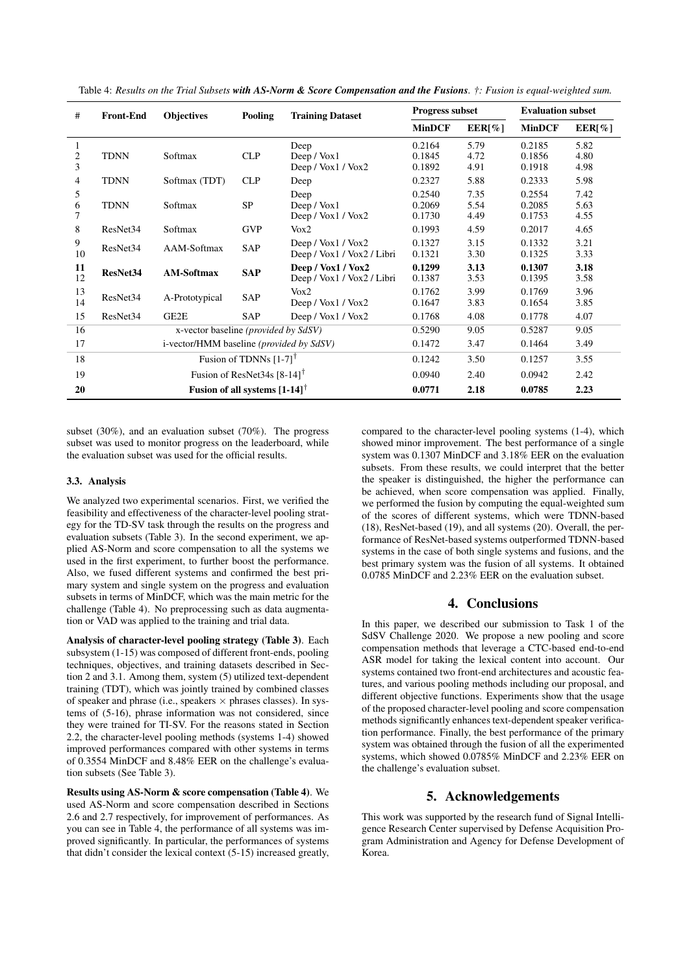| #           | <b>Front-End</b>                              | <b>Objectives</b> | Pooling                                | <b>Training Dataset</b>                              | <b>Progress subset</b>     |                      | <b>Evaluation subset</b>   |                      |
|-------------|-----------------------------------------------|-------------------|----------------------------------------|------------------------------------------------------|----------------------------|----------------------|----------------------------|----------------------|
|             |                                               |                   |                                        |                                                      | <b>MinDCF</b>              | EER[%]               | <b>MinDCF</b>              | EER[%]               |
| 1<br>2<br>3 | <b>TDNN</b>                                   | Softmax           | <b>CLP</b>                             | Deep<br>Deep / Vox1<br>Deep / Vox1 / Vox2            | 0.2164<br>0.1845<br>0.1892 | 5.79<br>4.72<br>4.91 | 0.2185<br>0.1856<br>0.1918 | 5.82<br>4.80<br>4.98 |
| 4           | <b>TDNN</b>                                   | Softmax (TDT)     | <b>CLP</b>                             | Deep                                                 | 0.2327                     | 5.88                 | 0.2333                     | 5.98                 |
| 5<br>6<br>7 | <b>TDNN</b>                                   | Softmax           | <b>SP</b>                              | Deep<br>Deep / $Vox1$<br>Deep / Vox1 / Vox2          | 0.2540<br>0.2069<br>0.1730 | 7.35<br>5.54<br>4.49 | 0.2554<br>0.2085<br>0.1753 | 7.42<br>5.63<br>4.55 |
| 8           | ResNet <sub>34</sub>                          | Softmax           | <b>GVP</b>                             | Vox2                                                 | 0.1993                     | 4.59                 | 0.2017                     | 4.65                 |
| 9<br>10     | ResNet34                                      | AAM-Softmax       | SAP                                    | Deep / $Vox1$ / $Vox2$<br>Deep / Vox1 / Vox2 / Libri | 0.1327<br>0.1321           | 3.15<br>3.30         | 0.1332<br>0.1325           | 3.21<br>3.33         |
| 11<br>12    | ResNet34                                      | <b>AM-Softmax</b> | <b>SAP</b>                             | Deep / Vox1 / Vox2<br>Deep / Vox1 / Vox2 / Libri     | 0.1299<br>0.1387           | 3.13<br>3.53         | 0.1307<br>0.1395           | 3.18<br>3.58         |
| 13<br>14    | ResNet <sub>34</sub>                          | A-Prototypical    | SAP                                    | $V_0x2$<br>Deep / $Vox1$ / $Vox2$                    | 0.1762<br>0.1647           | 3.99<br>3.83         | 0.1769<br>0.1654           | 3.96<br>3.85         |
| 15          | ResNet <sub>34</sub>                          | GE2E              | SAP                                    | Deep / $Vox1$ / $Vox2$                               | 0.1768                     | 4.08                 | 0.1778                     | 4.07                 |
| 16          | x-vector baseline ( <i>provided by SdSV</i> ) |                   |                                        | 0.5290                                               | 9.05                       | 0.5287               | 9.05                       |                      |
| 17          | i-vector/HMM baseline (provided by SdSV)      |                   |                                        | 0.1472                                               | 3.47                       | 0.1464               | 3.49                       |                      |
| 18          | Fusion of TDNNs $[1-7]$ <sup>†</sup>          |                   |                                        | 0.1242                                               | 3.50                       | 0.1257               | 3.55                       |                      |
| 19          | Fusion of ResNet34s $[8-14]$ <sup>†</sup>     |                   |                                        | 0.0940                                               | 2.40                       | 0.0942               | 2.42                       |                      |
| 20          |                                               |                   | Fusion of all systems $[1-14]^\dagger$ |                                                      | 0.0771                     | 2.18                 | 0.0785                     | 2.23                 |

Table 4: *Results on the Trial Subsets with AS-Norm & Score Compensation and the Fusions. †: Fusion is equal-weighted sum.*

subset (30%), and an evaluation subset (70%). The progress subset was used to monitor progress on the leaderboard, while the evaluation subset was used for the official results.

#### 3.3. Analysis

We analyzed two experimental scenarios. First, we verified the feasibility and effectiveness of the character-level pooling strategy for the TD-SV task through the results on the progress and evaluation subsets (Table 3). In the second experiment, we applied AS-Norm and score compensation to all the systems we used in the first experiment, to further boost the performance. Also, we fused different systems and confirmed the best primary system and single system on the progress and evaluation subsets in terms of MinDCF, which was the main metric for the challenge (Table 4). No preprocessing such as data augmentation or VAD was applied to the training and trial data.

Analysis of character-level pooling strategy (Table 3). Each subsystem (1-15) was composed of different front-ends, pooling techniques, objectives, and training datasets described in Section 2 and 3.1. Among them, system (5) utilized text-dependent training (TDT), which was jointly trained by combined classes of speaker and phrase (i.e., speakers  $\times$  phrases classes). In systems of (5-16), phrase information was not considered, since they were trained for TI-SV. For the reasons stated in Section 2.2, the character-level pooling methods (systems 1-4) showed improved performances compared with other systems in terms of 0.3554 MinDCF and 8.48% EER on the challenge's evaluation subsets (See Table 3).

Results using AS-Norm & score compensation (Table 4). We used AS-Norm and score compensation described in Sections 2.6 and 2.7 respectively, for improvement of performances. As you can see in Table 4, the performance of all systems was improved significantly. In particular, the performances of systems that didn't consider the lexical context (5-15) increased greatly,

compared to the character-level pooling systems (1-4), which showed minor improvement. The best performance of a single system was 0.1307 MinDCF and 3.18% EER on the evaluation subsets. From these results, we could interpret that the better the speaker is distinguished, the higher the performance can be achieved, when score compensation was applied. Finally, we performed the fusion by computing the equal-weighted sum of the scores of different systems, which were TDNN-based (18), ResNet-based (19), and all systems (20). Overall, the performance of ResNet-based systems outperformed TDNN-based systems in the case of both single systems and fusions, and the best primary system was the fusion of all systems. It obtained 0.0785 MinDCF and 2.23% EER on the evaluation subset.

# 4. Conclusions

In this paper, we described our submission to Task 1 of the SdSV Challenge 2020. We propose a new pooling and score compensation methods that leverage a CTC-based end-to-end ASR model for taking the lexical content into account. Our systems contained two front-end architectures and acoustic features, and various pooling methods including our proposal, and different objective functions. Experiments show that the usage of the proposed character-level pooling and score compensation methods significantly enhances text-dependent speaker verification performance. Finally, the best performance of the primary system was obtained through the fusion of all the experimented systems, which showed 0.0785% MinDCF and 2.23% EER on the challenge's evaluation subset.

# 5. Acknowledgements

This work was supported by the research fund of Signal Intelligence Research Center supervised by Defense Acquisition Program Administration and Agency for Defense Development of Korea.